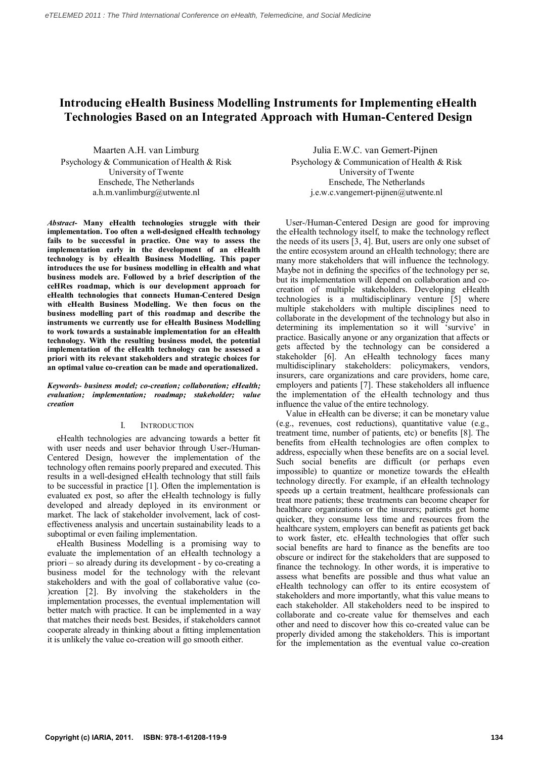# **Introducing eHealth Business Modelling Instruments for Implementing eHealth Technologies Based on an Integrated Approach with Human-Centered Design**

Maarten A.H. van Limburg Psychology & Communication of Health & Risk University of Twente Enschede, The Netherlands a.h.m.vanlimburg@utwente.nl

*Abstract***- Many eHealth technologies struggle with their implementation. Too often a well-designed eHealth technology fails to be successful in practice. One way to assess the implementation early in the development of an eHealth technology is by eHealth Business Modelling. This paper introduces the use for business modelling in eHealth and what business models are. Followed by a brief description of the ceHRes roadmap, which is our development approach for eHealth technologies that connects Human-Centered Design with eHealth Business Modelling. We then focus on the business modelling part of this roadmap and describe the instruments we currently use for eHealth Business Modelling to work towards a sustainable implementation for an eHealth technology. With the resulting business model, the potential implementation of the eHealth technology can be assessed a priori with its relevant stakeholders and strategic choices for an optimal value co-creation can be made and operationalized.**

*Keywords- business model; co-creation; collaboration; eHealth; evaluation; implementation; roadmap; stakeholder; value creation*

## I. INTRODUCTION

eHealth technologies are advancing towards a better fit with user needs and user behavior through User-/Human-Centered Design, however the implementation of the technology often remains poorly prepared and executed. This results in a well-designed eHealth technology that still fails to be successful in practice [1]. Often the implementation is evaluated ex post, so after the eHealth technology is fully developed and already deployed in its environment or market. The lack of stakeholder involvement, lack of costeffectiveness analysis and uncertain sustainability leads to a suboptimal or even failing implementation.

eHealth Business Modelling is a promising way to evaluate the implementation of an eHealth technology a priori – so already during its development - by co-creating a business model for the technology with the relevant stakeholders and with the goal of collaborative value (co- )creation  $[2]$ . By involving the stakeholders in the implementation processes, the eventual implementation will better match with practice. It can be implemented in a way that matches their needs best. Besides, if stakeholders cannot cooperate already in thinking about a fitting implementation it is unlikely the value co-creation will go smooth either.

Julia E.W.C. van Gemert-Pijnen Psychology & Communication of Health & Risk University of Twente Enschede, The Netherlands j.e.w.c.vangemert-pijnen@utwente.nl

User-/Human-Centered Design are good for improving the eHealth technology itself, to make the technology reflect the needs of its users [3, 4]. But, users are only one subset of the entire ecosystem around an eHealth technology; there are many more stakeholders that will influence the technology. Maybe not in defining the specifics of the technology per se, but its implementation will depend on collaboration and cocreation of multiple stakeholders. Developing eHealth technologies is a multidisciplinary venture [5] where multiple stakeholders with multiple disciplines need to collaborate in the development of the technology but also in determining its implementation so it will 'survive' in practice. Basically anyone or any organization that affects or gets affected by the technology can be considered a stakeholder [6]. An eHealth technology faces many multidisciplinary stakeholders: policymakers, vendors, insurers, care organizations and care providers, home care, employers and patients [7]. These stakeholders all influence the implementation of the eHealth technology and thus influence the value of the entire technology.

Value in eHealth can be diverse; it can be monetary value (e.g., revenues, cost reductions), quantitative value (e.g., treatment time, number of patients, etc) or benefits [8]. The benefits from eHealth technologies are often complex to address, especially when these benefits are on a social level. Such social benefits are difficult (or perhaps even impossible) to quantize or monetize towards the eHealth technology directly. For example, if an eHealth technology speeds up a certain treatment, healthcare professionals can treat more patients; these treatments can become cheaper for healthcare organizations or the insurers; patients get home quicker, they consume less time and resources from the healthcare system, employers can benefit as patients get back to work faster, etc. eHealth technologies that offer such social benefits are hard to finance as the benefits are too obscure or indirect for the stakeholders that are supposed to finance the technology. In other words, it is imperative to assess what benefits are possible and thus what value an eHealth technology can offer to its entire ecosystem of stakeholders and more importantly, what this value means to each stakeholder. All stakeholders need to be inspired to collaborate and co-create value for themselves and each other and need to discover how this co-created value can be properly divided among the stakeholders. This is important for the implementation as the eventual value co-creation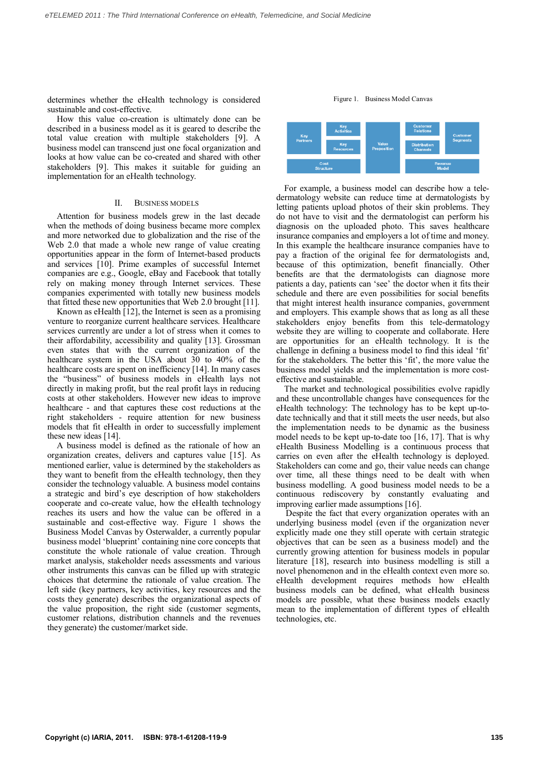determines whether the eHealth technology is considered sustainable and cost-effective.

How this value co-creation is ultimately done can be described in a business model as it is geared to describe the total value creation with multiple stakeholders [9]. A business model can transcend just one focal organization and looks at how value can be co-created and shared with other stakeholders [9]. This makes it suitable for guiding an implementation for an eHealth technology.

## II. BUSINESS MODELS

Attention for business models grew in the last decade when the methods of doing business became more complex and more networked due to globalization and the rise of the Web 2.0 that made a whole new range of value creating opportunities appear in the form of Internet-based products and services [10]. Prime examples of successful Internet companies are e.g., Google, eBay and Facebook that totally rely on making money through Internet services. These companies experimented with totally new business models that fitted these new opportunities that Web 2.0 brought [11].

Known as eHealth  $\left[12\right]$ , the Internet is seen as a promising venture to reorganize current healthcare services. Healthcare services currently are under a lot of stress when it comes to their affordability, accessibility and quality [13]. Grossman even states that with the current organization of the healthcare system in the USA about  $30$  to 40% of the healthcare costs are spent on inefficiency [14]. In many cases the "business" of business models in eHealth lays not directly in making profit, but the real profit lays in reducing costs at other stakeholders. However new ideas to improve healthcare - and that captures these cost reductions at the right stakeholders - require attention for new business models that fit eHealth in order to successfully implement these new ideas [14].

A business model is defined as the rationale of how an organization creates, delivers and captures value [15]. As mentioned earlier, value is determined by the stakeholders as they want to benefit from the eHealth technology, then they consider the technology valuable. A business model contains a strategic and bird's eye description of how stakeholders cooperate and co-create value, how the eHealth technology reaches its users and how the value can be offered in a sustainable and cost-effective way. Figure 1 shows the Business Model Canvas by Osterwalder, a currently popular business model 'blueprint' containing nine core concepts that constitute the whole rationale of value creation. Through market analysis, stakeholder needs assessments and various other instruments this canvas can be filled up with strategic choices that determine the rationale of value creation. The left side (key partners, key activities, key resources and the costs they generate) describes the organizational aspects of the value proposition, the right side (customer segments, customer relations, distribution channels and the revenues they generate) the customer/market side.



For example, a business model can describe how a teledermatology website can reduce time at dermatologists by letting patients upload photos of their skin problems. They do not have to visit and the dermatologist can perform his diagnosis on the uploaded photo. This saves healthcare insurance companies and employers a lot of time and money. In this example the healthcare insurance companies have to pay a fraction of the original fee for dermatologists and, because of this optimization, benefit financially. Other benefits are that the dermatologists can diagnose more patients a day, patients can 'see' the doctor when it fits their schedule and there are even possibilities for social benefits that might interest health insurance companies, government and employers. This example shows that as long as all these stakeholders enjoy benefits from this tele-dermatology website they are willing to cooperate and collaborate. Here are opportunities for an eHealth technology. It is the challenge in defining a business model to find this ideal 'fit' for the stakeholders. The better this 'fit', the more value the business model yields and the implementation is more costeffective and sustainable.

The market and technological possibilities evolve rapidly and these uncontrollable changes have consequences for the eHealth technology: The technology has to be kept up-todate technically and that it still meets the user needs, but also the implementation needs to be dynamic as the business model needs to be kept up-to-date too [16, 17]. That is why eHealth Business Modelling is a continuous process that carries on even after the eHealth technology is deployed. Stakeholders can come and go, their value needs can change over time, all these things need to be dealt with when business modelling. A good business model needs to be a continuous rediscovery by constantly evaluating and improving earlier made assumptions [16].

Despite the fact that every organization operates with an underlying business model (even if the organization never explicitly made one they still operate with certain strategic objectives that can be seen as a business model) and the currently growing attention for business models in popular literature [18], research into business modelling is still a novel phenomenon and in the eHealth context even more so. eHealth development requires methods how eHealth business models can be defined, what eHealth business models are possible, what these business models exactly mean to the implementation of different types of eHealth technologies, etc.

## Figure 1. Business Model Canvas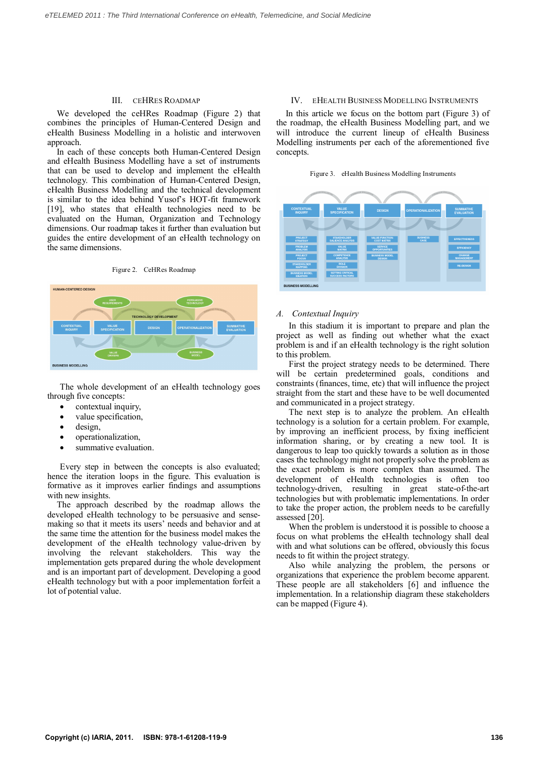#### III. CEHRES ROADMAP

We developed the ceHRes Roadmap (Figure 2) that combines the principles of Human-Centered Design and eHealth Business Modelling in a holistic and interwoven approach.

In each of these concepts both Human-Centered Design and eHealth Business Modelling have a set of instruments that can be used to develop and implement the eHealth technology. This combination of Human-Centered Design, eHealth Business Modelling and the technical development is similar to the idea behind Yusof's HOT-fit framework [19], who states that eHealth technologies need to be evaluated on the Human, Organization and Technology dimensions. Our roadmap takes it further than evaluation but guides the entire development of an eHealth technology on the same dimensions.

Figure 2. CeHRes Roadmap



The whole development of an eHealth technology goes through five concepts:

- contextual inquiry,
- value specification,
- design,
- operationalization,
- summative evaluation.

Every step in between the concepts is also evaluated; hence the iteration loops in the figure. This evaluation is formative as it improves earlier findings and assumptions with new insights.

The approach described by the roadmap allows the developed eHealth technology to be persuasive and sensemaking so that it meets its users' needs and behavior and at the same time the attention for the business model makes the development of the eHealth technology value-driven by involving the relevant stakeholders. This way the implementation gets prepared during the whole development and is an important part of development. Developing a good eHealth technology but with a poor implementation forfeit a lot of potential value.

#### IV. EHEALTH BUSINESS MODELLING INSTRUMENTS

In this article we focus on the bottom part (Figure 3) of the roadmap, the eHealth Business Modelling part, and we will introduce the current lineup of eHealth Business Modelling instruments per each of the aforementioned five concepts.

Figure 3. eHealth Business Modelling Instruments



## *A. Contextual Inquiry*

In this stadium it is important to prepare and plan the project as well as finding out whether what the exact problem is and if an eHealth technology is the right solution to this problem.

First the project strategy needs to be determined. There will be certain predetermined goals, conditions and constraints (finances, time, etc) that will influence the project straight from the start and these have to be well documented and communicated in a project strategy.

The next step is to analyze the problem. An eHealth technology is a solution for a certain problem. For example, by improving an inefficient process, by fixing inefficient information sharing, or by creating a new tool. It is dangerous to leap too quickly towards a solution as in those cases the technology might not properly solve the problem as the exact problem is more complex than assumed. The development of eHealth technologies is often too technology-driven, resulting in great state-of-the-art technologies but with problematic implementations. In order to take the proper action, the problem needs to be carefully assessed [20].

When the problem is understood it is possible to choose a focus on what problems the eHealth technology shall deal with and what solutions can be offered, obviously this focus needs to fit within the project strategy.

Also while analyzing the problem, the persons or organizations that experience the problem become apparent. These people are all stakeholders [6] and influence the implementation. In a relationship diagram these stakeholders can be mapped (Figure 4).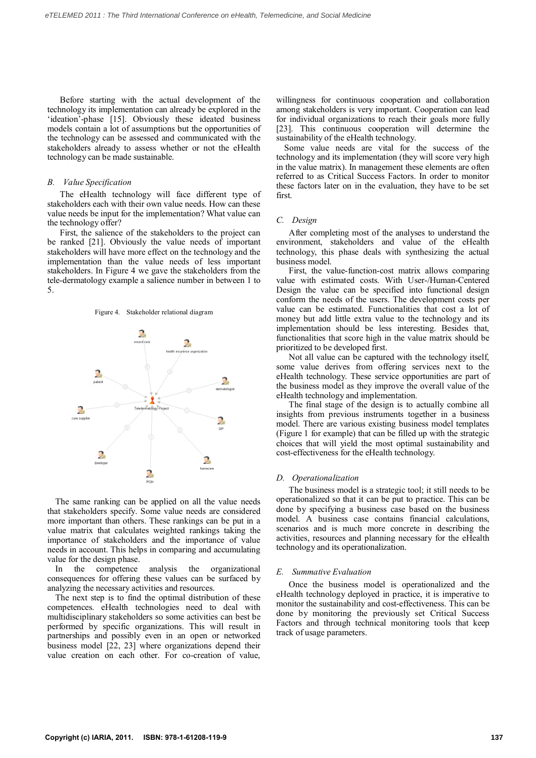Before starting with the actual development of the technology its implementation can already be explored in the 'ideation'-phase [15]. Obviously these ideated business models contain a lot of assumptions but the opportunities of the technology can be assessed and communicated with the stakeholders already to assess whether or not the eHealth technology can be made sustainable.

#### *B. Value Specification*

The eHealth technology will face different type of stakeholders each with their own value needs. How can these value needs be input for the implementation? What value can the technology offer?

First, the salience of the stakeholders to the project can be ranked [21]. Obviously the value needs of important stakeholders will have more effect on the technology and the implementation than the value needs of less important stakeholders. In Figure 4 we gave the stakeholders from the tele-dermatology example a salience number in between 1 to 5.





The same ranking can be applied on all the value needs that stakeholders specify. Some value needs are considered more important than others. These rankings can be put in a value matrix that calculates weighted rankings taking the importance of stakeholders and the importance of value needs in account. This helps in comparing and accumulating value for the design phase.<br>In the competence

In the competence analysis the organizational consequences for offering these values can be surfaced by analyzing the necessary activities and resources.

The next step is to find the optimal distribution of these competences. eHealth technologies need to deal with multidisciplinary stakeholders so some activities can best be performed by specific organizations. This will result in partnerships and possibly even in an open or networked business model [22, 23] where organizations depend their value creation on each other. For co-creation of value, willingness for continuous cooperation and collaboration among stakeholders is very important. Cooperation can lead for individual organizations to reach their goals more fully [23]. This continuous cooperation will determine the sustainability of the eHealth technology.

Some value needs are vital for the success of the technology and its implementation (they will score very high in the value matrix). In management these elements are often referred to as Critical Success Factors. In order to monitor these factors later on in the evaluation, they have to be set first.

#### *C. Design*

After completing most of the analyses to understand the environment, stakeholders and value of the eHealth technology, this phase deals with synthesizing the actual business model.

First, the value-function-cost matrix allows comparing value with estimated costs. With User-/Human-Centered Design the value can be specified into functional design conform the needs of the users. The development costs per value can be estimated. Functionalities that cost a lot of money but add little extra value to the technology and its implementation should be less interesting. Besides that, functionalities that score high in the value matrix should be prioritized to be developed first.

Not all value can be captured with the technology itself, some value derives from offering services next to the eHealth technology. These service opportunities are part of the business model as they improve the overall value of the eHealth technology and implementation.

The final stage of the design is to actually combine all insights from previous instruments together in a business model. There are various existing business model templates (Figure 1 for example) that can be filled up with the strategic choices that will yield the most optimal sustainability and cost-effectiveness for the eHealth technology.

#### *D. Operationalization*

The business model is a strategic tool; it still needs to be operationalized so that it can be put to practice. This can be done by specifying a business case based on the business model. A business case contains financial calculations, scenarios and is much more concrete in describing the activities, resources and planning necessary for the eHealth technology and its operationalization.

#### *E. Summative Evaluation*

Once the business model is operationalized and the eHealth technology deployed in practice, it is imperative to monitor the sustainability and cost-effectiveness. This can be done by monitoring the previously set Critical Success Factors and through technical monitoring tools that keep track of usage parameters.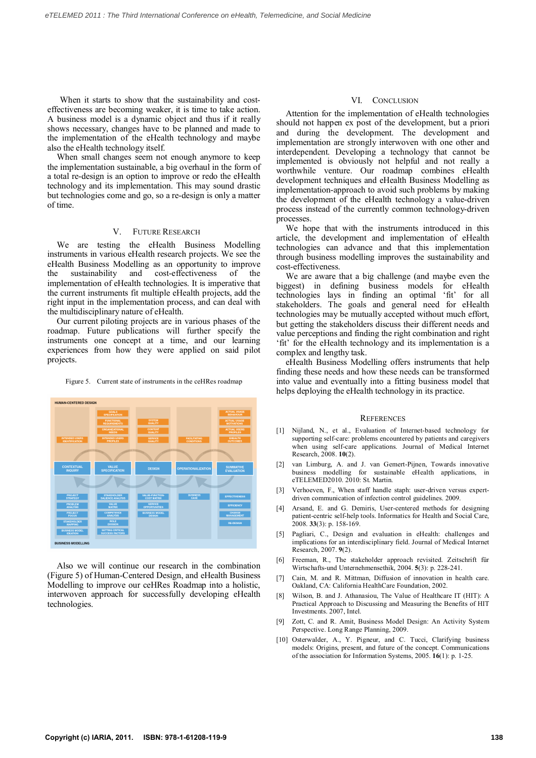When it starts to show that the sustainability and costeffectiveness are becoming weaker, it is time to take action. A business model is a dynamic object and thus if it really shows necessary, changes have to be planned and made to the implementation of the eHealth technology and maybe also the eHealth technology itself.

When small changes seem not enough anymore to keep the implementation sustainable, a big overhaul in the form of a total re-design is an option to improve or redo the eHealth technology and its implementation. This may sound drastic but technologies come and go, so a re-design is only a matter of time.

### V. FUTURE RESEARCH

We are testing the eHealth Business Modelling instruments in various eHealth research projects. We see the eHealth Business Modelling as an opportunity to improve the sustainability and cost-effectiveness of the the sustainability and cost-effectiveness implementation of eHealth technologies. It is imperative that the current instruments fit multiple eHealth projects, add the right input in the implementation process, and can deal with the multidisciplinary nature of eHealth.

Our current piloting projects are in various phases of the roadmap. Future publications will further specify the instruments one concept at a time, and our learning experiences from how they were applied on said pilot projects.



Figure 5. Current state of instruments in the ceHRes roadmap

Also we will continue our research in the combination (Figure 5) of Human-Centered Design, and eHealth Business Modelling to improve our ceHRes Roadmap into a holistic, interwoven approach for successfully developing eHealth technologies.

### VI. CONCLUSION

Attention for the implementation of eHealth technologies should not happen ex post of the development, but a priori and during the development. The development and implementation are strongly interwoven with one other and interdependent. Developing a technology that cannot be implemented is obviously not helpful and not really a worthwhile venture. Our roadmap combines eHealth development techniques and eHealth Business Modelling as implementation-approach to avoid such problems by making the development of the eHealth technology a value-driven process instead of the currently common technology-driven processes.

We hope that with the instruments introduced in this article, the development and implementation of eHealth technologies can advance and that this implementation through business modelling improves the sustainability and cost-effectiveness.

We are aware that a big challenge (and maybe even the biggest) in defining business models for eHealth technologies lays in finding an optimal 'fit' for all stakeholders. The goals and general need for eHealth technologies may be mutually accepted without much effort, but getting the stakeholders discuss their different needs and value perceptions and finding the right combination and right 'fit' for the eHealth technology and its implementation is a complex and lengthy task.

eHealth Business Modelling offers instruments that help finding these needs and how these needs can be transformed into value and eventually into a fitting business model that helps deploying the eHealth technology in its practice.

#### **REFERENCES**

- [1] Nijland, N., et al., Evaluation of Internet-based technology for supporting self-care: problems encountered by patients and caregivers when using self-care applications. Journal of Medical Internet Research, 2008. **10**(2).
- [2] van Limburg, A. and J. van Gemert-Pijnen, Towards innovative business modelling for sustainable eHealth applications, in eTELEMED2010. 2010: St. Martin.
- [3] Verhoeven, F., When staff handle staph: user-driven versus expertdriven communication of infection control guidelines. 2009.
- [4] Arsand, E. and G. Demiris, User-centered methods for designing patient-centric self-help tools. Informatics for Health and Social Care, 2008. **33**(3): p. 158-169.
- [5] Pagliari, C., Design and evaluation in eHealth: challenges and implications for an interdisciplinary field. Journal of Medical Internet Research, 2007. **9**(2).
- [6] Freeman, R., The stakeholder approach revisited. Zeitschrift für Wirtschafts-und Unternehmensethik, 2004. **5**(3): p. 228-241.
- [7] Cain, M. and R. Mittman, Diffusion of innovation in health care. Oakland, CA: California HealthCare Foundation, 2002.
- [8] Wilson, B. and J. Athanasiou, The Value of Healthcare IT (HIT): A Practical Approach to Discussing and Measuring the Benefits of HIT Investments. 2007, Intel.
- [9] Zott, C. and R. Amit, Business Model Design: An Activity System Perspective. Long Range Planning, 2009.
- [10] Osterwalder, A., Y. Pigneur, and C. Tucci, Clarifying business models: Origins, present, and future of the concept. Communications of the association for Information Systems, 2005. **16**(1): p. 1-25.